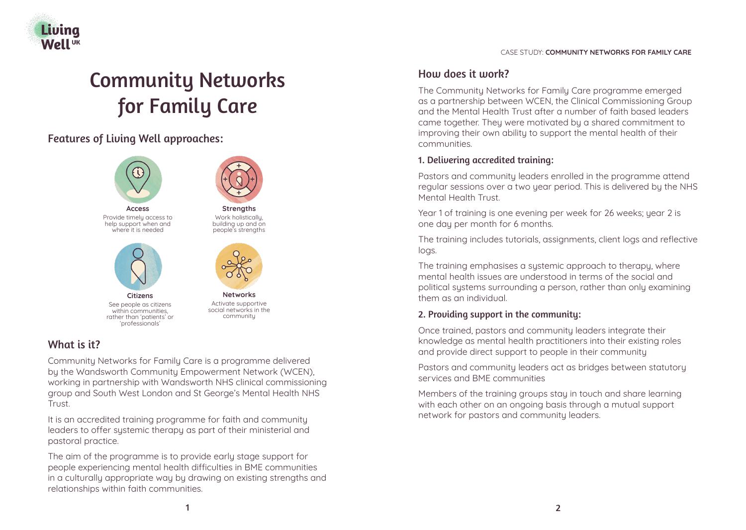

# Community Networks for Family Care

# Features of Living Well approaches:



## What is it?

Community Networks for Family Care is a programme delivered by the Wandsworth Community Empowerment Network (WCEN), working in partnership with Wandsworth NHS clinical commissioning group and South West London and St George's Mental Health NHS Trust.

It is an accredited training programme for faith and community leaders to offer systemic therapy as part of their ministerial and pastoral practice.

The aim of the programme is to provide early stage support for people experiencing mental health difficulties in BME communities in a culturally appropriate way by drawing on existing strengths and relationships within faith communities.

#### CASE STUDY: **COMMUNITY NETWORKS FOR FAMILY CARE**

## How does it work?

The Community Networks for Family Care programme emerged as a partnership between WCEN, the Clinical Commissioning Group and the Mental Health Trust after a number of faith based leaders came together. They were motivated by a shared commitment to improving their own ability to support the mental health of their communities.

## 1. Delivering accredited training:

Pastors and community leaders enrolled in the programme attend regular sessions over a two year period. This is delivered by the NHS Mental Health Trust.

Year 1 of training is one evening per week for 26 weeks; year 2 is one day per month for 6 months.

The training includes tutorials, assignments, client logs and reflective logs.

The training emphasises a systemic approach to therapy, where mental health issues are understood in terms of the social and political systems surrounding a person, rather than only examining them as an individual.

## 2. Providing support in the community:

Once trained, pastors and community leaders integrate their knowledge as mental health practitioners into their existing roles and provide direct support to people in their community

Pastors and community leaders act as bridges between statutory services and BME communities

Members of the training groups stay in touch and share learning with each other on an ongoing basis through a mutual support network for pastors and community leaders.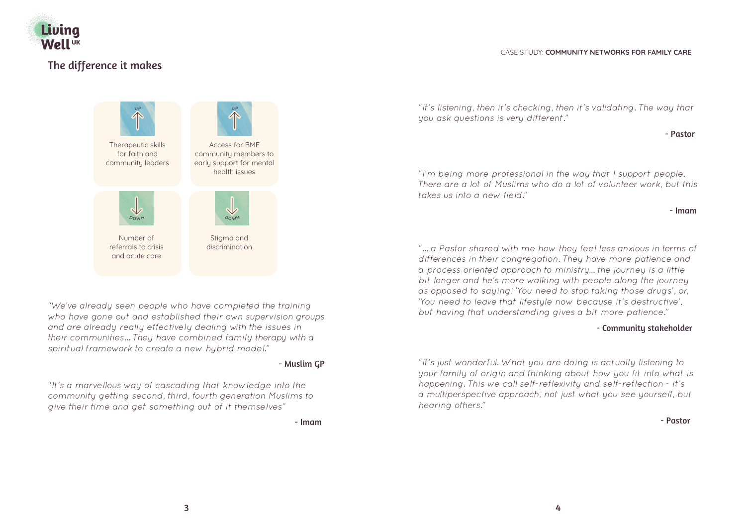

# The difference it makes

#### CASE STUDY: **COMMUNITY NETWORKS FOR FAMILY CARE**



*"We've already seen people who have completed the training who have gone out and established their own supervision groups and are already really effectively dealing with the issues in their communities… They have combined family therapy with a spiritual framework to create a new hybrid model."*

#### - Muslim GP

*"It's a marvellous way of cascading that knowledge into the community getting second, third, fourth generation Muslims to give their time and get something out of it themselves"*

- Imam

*"It's listening, then it's checking, then it's validating. The way that you ask questions is very different."*

#### - Pastor

*"I'm being more professional in the way that I support people. There are a lot of Muslims who do a lot of volunteer work, but this takes us into a new field."*

#### - Imam

*"… a Pastor shared with me how they feel less anxious in terms of differences in their congregation. They have more patience and a process oriented approach to ministry... the journey is a little bit longer and he's more walking with people along the journey as opposed to saying: 'You need to stop taking those drugs', or, 'You need to leave that lifestyle now because it's destructive', but having that understanding gives a bit more patience."*

#### - Community stakeholder

*"It's just wonderful. What you are doing is actually listening to your family of origin and thinking about how you fit into what is happening. This we call self-reflexivity and self-reflection - it's a multiperspective approach; not just what you see yourself, but hearing others."*

- Pastor